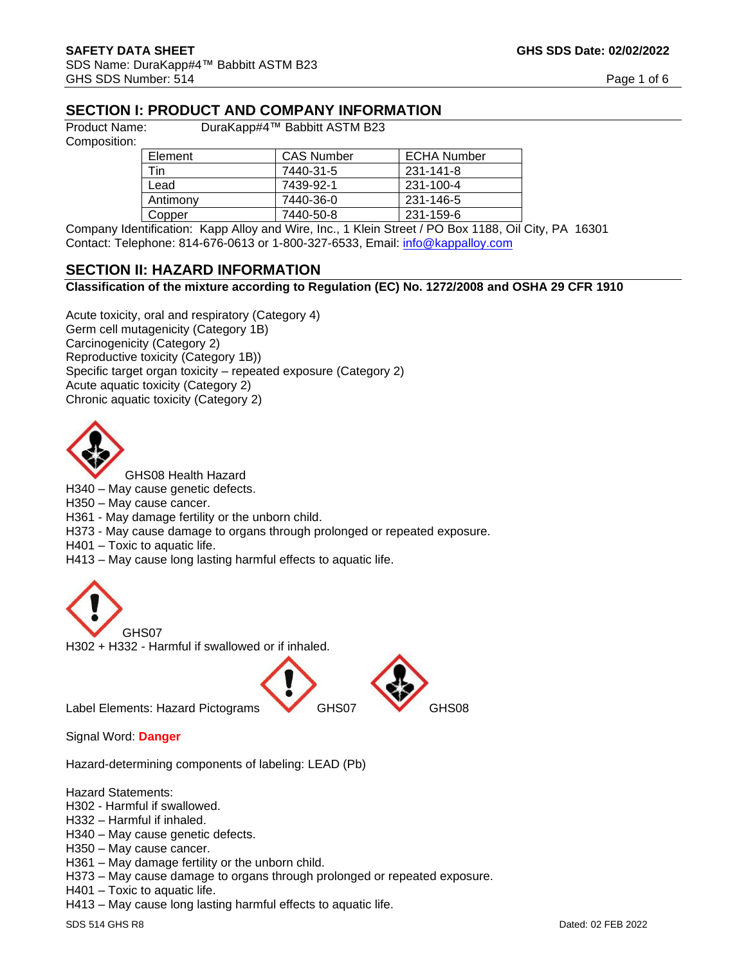# **SECTION I: PRODUCT AND COMPANY INFORMATION**

Composition:

Product Name: DuraKapp#4™ Babbitt ASTM B23

| Element  | <b>CAS Number</b> | <b>ECHA Number</b> |
|----------|-------------------|--------------------|
| Tin      | 7440-31-5         | 231-141-8          |
| Lead     | 7439-92-1         | 231-100-4          |
| Antimony | 7440-36-0         | 231-146-5          |
| Copper   | 7440-50-8         | 231-159-6          |

Company Identification: Kapp Alloy and Wire, Inc., 1 Klein Street / PO Box 1188, Oil City, PA 16301 Contact: Telephone: 814-676-0613 or 1-800-327-6533, Email: [info@kappalloy.com](mailto:info@kappalloy.com)

#### **SECTION II: HAZARD INFORMATION**

#### **Classification of the mixture according to Regulation (EC) No. 1272/2008 and OSHA 29 CFR 1910**

Acute toxicity, oral and respiratory (Category 4) Germ cell mutagenicity (Category 1B) Carcinogenicity (Category 2) Reproductive toxicity (Category 1B)) Specific target organ toxicity – repeated exposure (Category 2) Acute aquatic toxicity (Category 2) Chronic aquatic toxicity (Category 2)



GHS08 Health Hazard

H340 – May cause genetic defects.

H350 – May cause cancer.

H361 - May damage fertility or the unborn child.

H373 - May cause damage to organs through prolonged or repeated exposure.

H401 – Toxic to aquatic life.

H413 – May cause long lasting harmful effects to aquatic life.





Label Elements: Hazard Pictograms GHS07 GHS08

Signal Word: **Danger**

Hazard-determining components of labeling: LEAD (Pb)

Hazard Statements:

H302 - Harmful if swallowed.

H332 – Harmful if inhaled.

H340 – May cause genetic defects.

H350 – May cause cancer.

H361 – May damage fertility or the unborn child.

H373 – May cause damage to organs through prolonged or repeated exposure.

H401 – Toxic to aquatic life.

H413 – May cause long lasting harmful effects to aquatic life.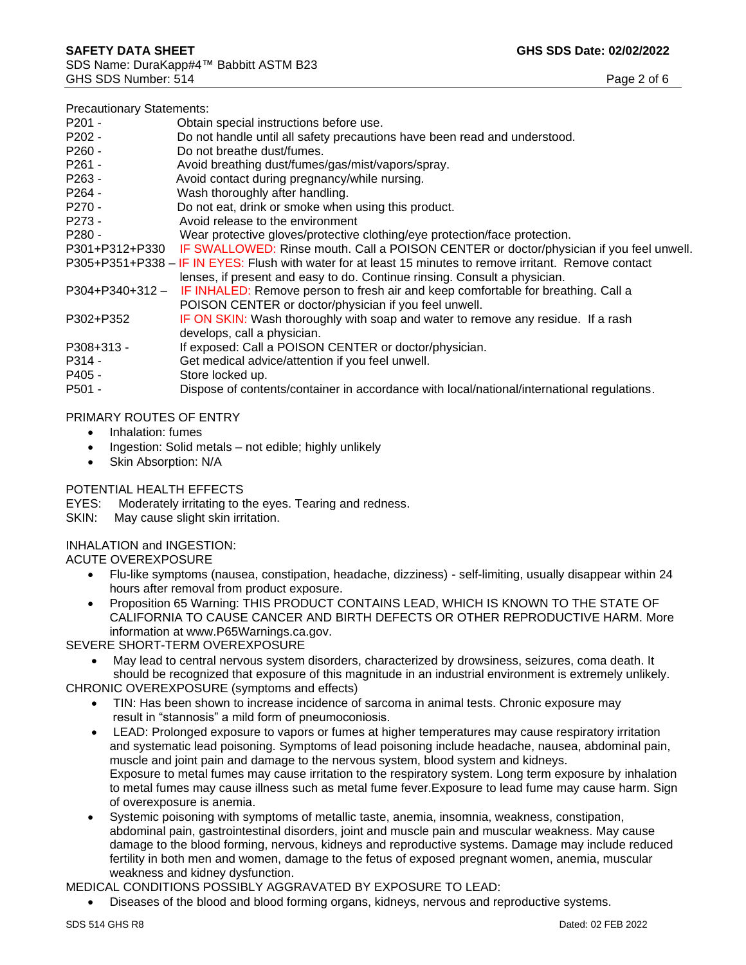| <b>Precautionary Statements:</b> |                                                                                                          |
|----------------------------------|----------------------------------------------------------------------------------------------------------|
| $P201 -$                         | Obtain special instructions before use.                                                                  |
| P202 -                           | Do not handle until all safety precautions have been read and understood.                                |
| $P260 -$                         | Do not breathe dust/fumes.                                                                               |
| $P261 -$                         | Avoid breathing dust/fumes/gas/mist/vapors/spray.                                                        |
| $P263 -$                         | Avoid contact during pregnancy/while nursing.                                                            |
| P264 -                           | Wash thoroughly after handling.                                                                          |
| P270 -                           | Do not eat, drink or smoke when using this product.                                                      |
| P273 -                           | Avoid release to the environment                                                                         |
| $P280 -$                         | Wear protective gloves/protective clothing/eye protection/face protection.                               |
|                                  | P301+P312+P330 IF SWALLOWED: Rinse mouth. Call a POISON CENTER or doctor/physician if you feel unwell.   |
|                                  | P305+P351+P338 - IF IN EYES: Flush with water for at least 15 minutes to remove irritant. Remove contact |
|                                  | lenses, if present and easy to do. Continue rinsing. Consult a physician.                                |
| $P304+P340+312-$                 | IF INHALED: Remove person to fresh air and keep comfortable for breathing. Call a                        |
|                                  | POISON CENTER or doctor/physician if you feel unwell.                                                    |
| P302+P352                        | IF ON SKIN: Wash thoroughly with soap and water to remove any residue. If a rash                         |
|                                  | develops, call a physician.                                                                              |
| P308+313 -                       | If exposed: Call a POISON CENTER or doctor/physician.                                                    |
| P314 -                           | Get medical advice/attention if you feel unwell.                                                         |
| P405 -                           | Store locked up.                                                                                         |
| P501 -                           | Dispose of contents/container in accordance with local/national/international regulations.               |
|                                  |                                                                                                          |

#### PRIMARY ROUTES OF ENTRY

- Inhalation: fumes
- Ingestion: Solid metals not edible; highly unlikely
- Skin Absorption: N/A

#### POTENTIAL HEALTH EFFECTS

EYES: Moderately irritating to the eyes. Tearing and redness.

SKIN: May cause slight skin irritation.

# INHALATION and INGESTION:

ACUTE OVEREXPOSURE

- Flu-like symptoms (nausea, constipation, headache, dizziness) self-limiting, usually disappear within 24 hours after removal from product exposure.
- Proposition 65 Warning: THIS PRODUCT CONTAINS LEAD, WHICH IS KNOWN TO THE STATE OF CALIFORNIA TO CAUSE CANCER AND BIRTH DEFECTS OR OTHER REPRODUCTIVE HARM. More information at www.P65Warnings.ca.gov.

SEVERE SHORT-TERM OVEREXPOSURE

• May lead to central nervous system disorders, characterized by drowsiness, seizures, coma death. It should be recognized that exposure of this magnitude in an industrial environment is extremely unlikely.

CHRONIC OVEREXPOSURE (symptoms and effects)

- TIN: Has been shown to increase incidence of sarcoma in animal tests. Chronic exposure may result in "stannosis" a mild form of pneumoconiosis.
- LEAD: Prolonged exposure to vapors or fumes at higher temperatures may cause respiratory irritation and systematic lead poisoning. Symptoms of lead poisoning include headache, nausea, abdominal pain, muscle and joint pain and damage to the nervous system, blood system and kidneys. Exposure to metal fumes may cause irritation to the respiratory system. Long term exposure by inhalation to metal fumes may cause illness such as metal fume fever.Exposure to lead fume may cause harm. Sign of overexposure is anemia.
- Systemic poisoning with symptoms of metallic taste, anemia, insomnia, weakness, constipation, abdominal pain, gastrointestinal disorders, joint and muscle pain and muscular weakness. May cause damage to the blood forming, nervous, kidneys and reproductive systems. Damage may include reduced fertility in both men and women, damage to the fetus of exposed pregnant women, anemia, muscular weakness and kidney dysfunction.

MEDICAL CONDITIONS POSSIBLY AGGRAVATED BY EXPOSURE TO LEAD:

• Diseases of the blood and blood forming organs, kidneys, nervous and reproductive systems.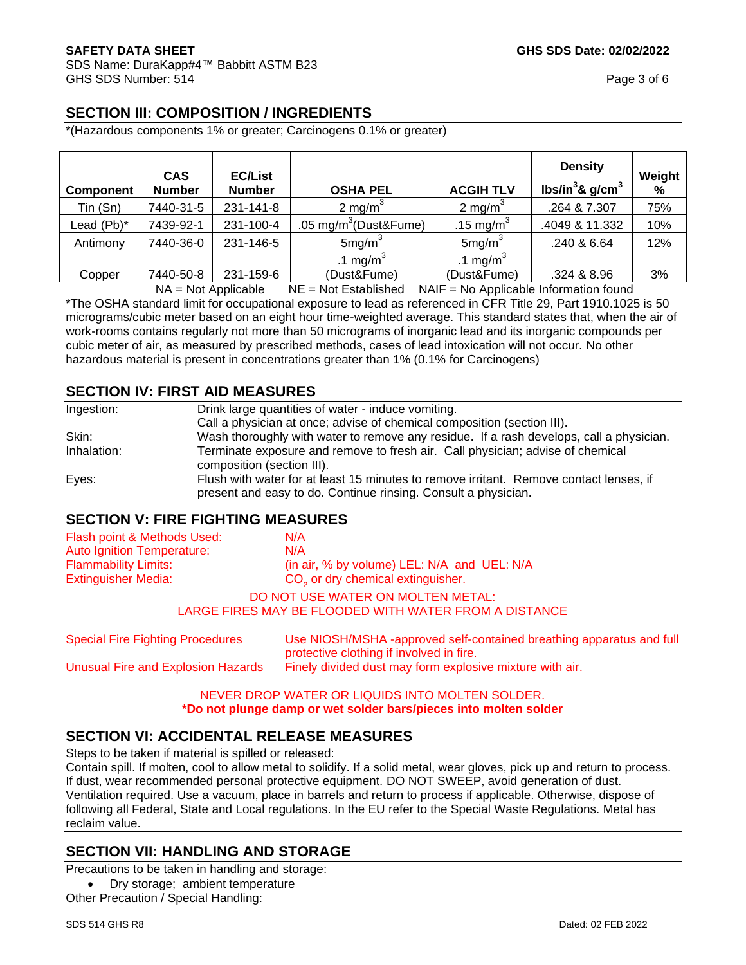# **SECTION III: COMPOSITION / INGREDIENTS**

\*(Hazardous components 1% or greater; Carcinogens 0.1% or greater)

| <b>Component</b> | <b>CAS</b><br><b>Number</b> | <b>EC/List</b><br><b>Number</b> | <b>OSHA PEL</b>                   | <b>ACGIH TLV</b>      | <b>Density</b><br>lbs/in ${}^{3}$ & g/cm ${}^{3}$ | Weight<br>% |
|------------------|-----------------------------|---------------------------------|-----------------------------------|-----------------------|---------------------------------------------------|-------------|
| Tin (Sn)         | 7440-31-5                   | 231-141-8                       | 2 mg/m <sup>3</sup>               | 2 mg/m <sup>3</sup>   | .264 & 7.307                                      | 75%         |
| Lead (Pb)*       | 7439-92-1                   | 231-100-4                       | .05 mg/m <sup>3</sup> (Dust&Fume) | .15 mg/m <sup>3</sup> | .4049 & 11.332                                    | 10%         |
| Antimony         | 7440-36-0                   | 231-146-5                       | 5mg/m <sup>3</sup>                | 5mg/m <sup>3</sup>    | .240 & 6.64                                       | 12%         |
|                  |                             |                                 | .1 mg/m <sup>3</sup>              | .1 mg/m <sup>3</sup>  |                                                   |             |
| Copper           | 7440-50-8                   | 231-159-6                       | (Dust&Fume)                       | (Dust&Fume)           | .324 & 8.96                                       | 3%          |

 $NA = Not$  Applicable  $NE = Not$  Established  $NAIF = No$  Applicable Information found \*The OSHA standard limit for occupational exposure to lead as referenced in CFR Title 29, Part 1910.1025 is 50 micrograms/cubic meter based on an eight hour time-weighted average. This standard states that, when the air of work-rooms contains regularly not more than 50 micrograms of inorganic lead and its inorganic compounds per cubic meter of air, as measured by prescribed methods, cases of lead intoxication will not occur. No other hazardous material is present in concentrations greater than 1% (0.1% for Carcinogens)

# **SECTION IV: FIRST AID MEASURES**

| Ingestion:  | Drink large quantities of water - induce vomiting.                                                                                                       |
|-------------|----------------------------------------------------------------------------------------------------------------------------------------------------------|
|             | Call a physician at once; advise of chemical composition (section III).                                                                                  |
| Skin:       | Wash thoroughly with water to remove any residue. If a rash develops, call a physician.                                                                  |
| Inhalation: | Terminate exposure and remove to fresh air. Call physician; advise of chemical<br>composition (section III).                                             |
| Eyes:       | Flush with water for at least 15 minutes to remove irritant. Remove contact lenses, if<br>present and easy to do. Continue rinsing. Consult a physician. |

#### **SECTION V: FIRE FIGHTING MEASURES**

| Flash point & Methods Used:                                       | N/A                                                                                                              |  |
|-------------------------------------------------------------------|------------------------------------------------------------------------------------------------------------------|--|
| <b>Auto Ignition Temperature:</b>                                 | N/A                                                                                                              |  |
| <b>Flammability Limits:</b>                                       | (in air, % by volume) LEL: N/A and UEL: N/A                                                                      |  |
| $CO2$ or dry chemical extinguisher.<br><b>Extinguisher Media:</b> |                                                                                                                  |  |
|                                                                   | DO NOT USE WATER ON MOLTEN METAL:                                                                                |  |
|                                                                   | LARGE FIRES MAY BE FLOODED WITH WATER FROM A DISTANCE                                                            |  |
| <b>Special Fire Fighting Procedures</b>                           | Use NIOSH/MSHA -approved self-contained breathing apparatus and full<br>protective clothing if involved in fire. |  |
| <b>Unusual Fire and Explosion Hazards</b>                         | Finely divided dust may form explosive mixture with air.                                                         |  |

#### NEVER DROP WATER OR LIQUIDS INTO MOLTEN SOLDER. **\*Do not plunge damp or wet solder bars/pieces into molten solder**

# **SECTION VI: ACCIDENTAL RELEASE MEASURES**

Steps to be taken if material is spilled or released:

Contain spill. If molten, cool to allow metal to solidify. If a solid metal, wear gloves, pick up and return to process. If dust, wear recommended personal protective equipment. DO NOT SWEEP, avoid generation of dust. Ventilation required. Use a vacuum, place in barrels and return to process if applicable. Otherwise, dispose of following all Federal, State and Local regulations. In the EU refer to the Special Waste Regulations. Metal has reclaim value.

#### **SECTION VII: HANDLING AND STORAGE**

Precautions to be taken in handling and storage:

• Dry storage; ambient temperature Other Precaution / Special Handling: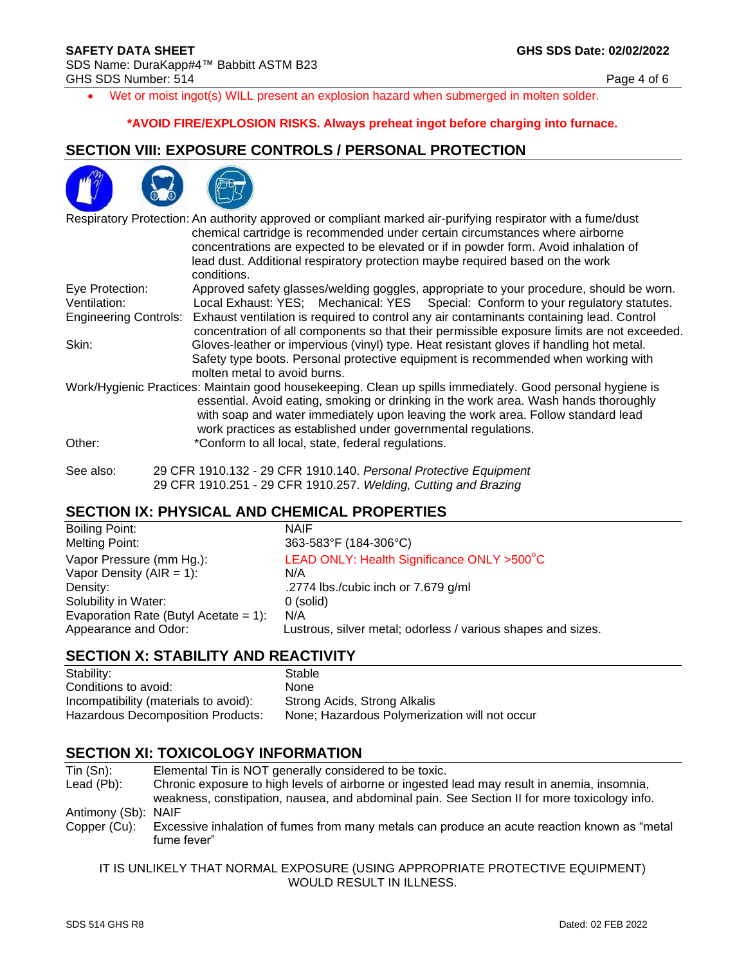• Wet or moist ingot(s) WILL present an explosion hazard when submerged in molten solder.

#### **\*AVOID FIRE/EXPLOSION RISKS. Always preheat ingot before charging into furnace.**

#### **SECTION VIII: EXPOSURE CONTROLS / PERSONAL PROTECTION**



|                                                                                                   | Respiratory Protection: An authority approved or compliant marked air-purifying respirator with a fume/dust<br>chemical cartridge is recommended under certain circumstances where airborne<br>concentrations are expected to be elevated or if in powder form. Avoid inhalation of<br>lead dust. Additional respiratory protection maybe required based on the work<br>conditions. |
|---------------------------------------------------------------------------------------------------|-------------------------------------------------------------------------------------------------------------------------------------------------------------------------------------------------------------------------------------------------------------------------------------------------------------------------------------------------------------------------------------|
| Eye Protection:                                                                                   | Approved safety glasses/welding goggles, appropriate to your procedure, should be worn.                                                                                                                                                                                                                                                                                             |
| Local Exhaust: YES; Mechanical: YES Special: Conform to your regulatory statutes.<br>Ventilation: |                                                                                                                                                                                                                                                                                                                                                                                     |
| <b>Engineering Controls:</b>                                                                      | Exhaust ventilation is required to control any air contaminants containing lead. Control<br>concentration of all components so that their permissible exposure limits are not exceeded.                                                                                                                                                                                             |
| Skin:                                                                                             | Gloves-leather or impervious (vinyl) type. Heat resistant gloves if handling hot metal.                                                                                                                                                                                                                                                                                             |
|                                                                                                   | Safety type boots. Personal protective equipment is recommended when working with<br>molten metal to avoid burns.                                                                                                                                                                                                                                                                   |
|                                                                                                   | Work/Hygienic Practices: Maintain good housekeeping. Clean up spills immediately. Good personal hygiene is<br>essential. Avoid eating, smoking or drinking in the work area. Wash hands thoroughly<br>with soap and water immediately upon leaving the work area. Follow standard lead<br>work practices as established under governmental regulations.                             |
| Other:                                                                                            | *Conform to all local, state, federal regulations.                                                                                                                                                                                                                                                                                                                                  |
| See also:                                                                                         | 29 CFR 1910.132 - 29 CFR 1910.140. Personal Protective Equipment<br>29 CFR 1910.251 - 29 CFR 1910.257. Welding, Cutting and Brazing                                                                                                                                                                                                                                                 |

#### **SECTION IX: PHYSICAL AND CHEMICAL PROPERTIES**

| Boiling Point:                        | <b>NAIF</b>                                                  |
|---------------------------------------|--------------------------------------------------------------|
| Melting Point:                        | 363-583°F (184-306°C)                                        |
| Vapor Pressure (mm Hg.):              | LEAD ONLY: Health Significance ONLY >500°C                   |
| Vapor Density ( $AIR = 1$ ):          | N/A                                                          |
| Density:                              | .2774 lbs./cubic inch or 7.679 g/ml                          |
| Solubility in Water:                  | 0 (solid)                                                    |
| Evaporation Rate (Butyl Acetate = 1): | N/A                                                          |
| Appearance and Odor:                  | Lustrous, silver metal; odorless / various shapes and sizes. |

#### **SECTION X: STABILITY AND REACTIVITY**

| Stability:                            | Stable                                        |
|---------------------------------------|-----------------------------------------------|
| Conditions to avoid:                  | <b>None</b>                                   |
| Incompatibility (materials to avoid): | Strong Acids, Strong Alkalis                  |
| Hazardous Decomposition Products:     | None; Hazardous Polymerization will not occur |

#### **SECTION XI: TOXICOLOGY INFORMATION**

- Tin (Sn): Elemental Tin is NOT generally considered to be toxic.<br>Lead (Pb): Chronic exposure to high levels of airborne or ingested Chronic exposure to high levels of airborne or ingested lead may result in anemia, insomnia, weakness, constipation, nausea, and abdominal pain. See Section II for more toxicology info. Antimony (Sb): NAIF Copper (Cu): Excessive inhalation of fumes from many metals can produce an acute reaction known as "metal
- fume fever"

IT IS UNLIKELY THAT NORMAL EXPOSURE (USING APPROPRIATE PROTECTIVE EQUIPMENT) WOULD RESULT IN ILLNESS.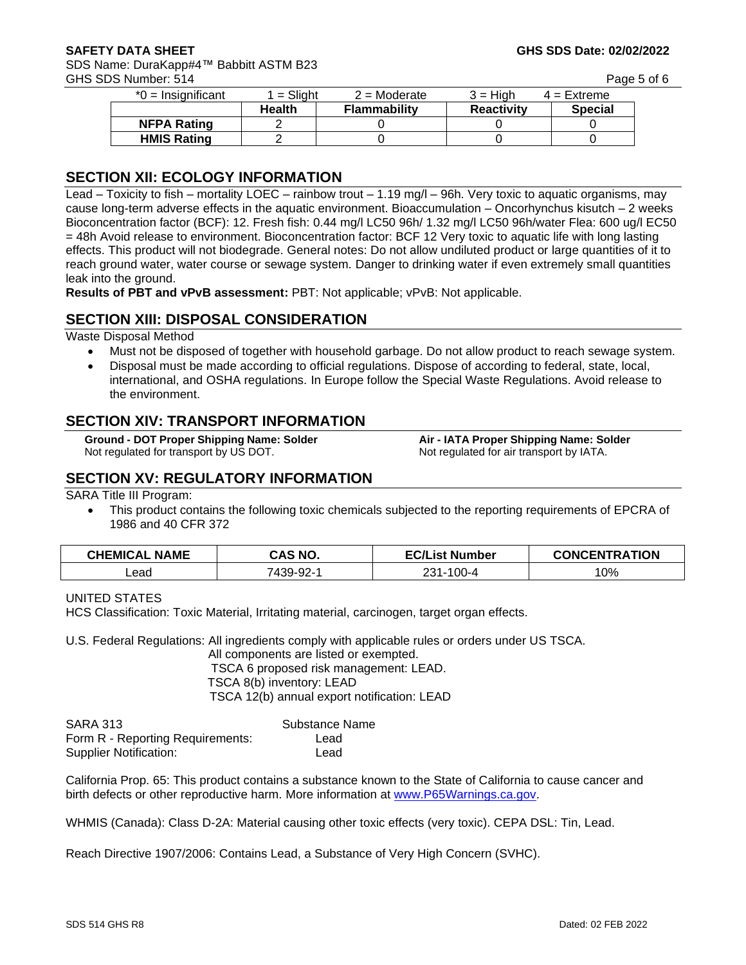SDS Name: DuraKapp#4™ Babbitt ASTM B23 GHS SDS Number: 514 Page 5 of 6

| $*0 =$ Insignificant | 1 = Sliaht    | $2 =$ Moderate      | $3 =$ High        | $4 =$ Extreme  |
|----------------------|---------------|---------------------|-------------------|----------------|
|                      | <b>Health</b> | <b>Flammability</b> | <b>Reactivity</b> | <b>Special</b> |
| <b>NFPA Rating</b>   |               |                     |                   |                |
| <b>HMIS Rating</b>   |               |                     |                   |                |

#### **SECTION XII: ECOLOGY INFORMATION**

Lead – Toxicity to fish – mortality LOEC – rainbow trout – 1.19 mg/l – 96h. Very toxic to aquatic organisms, may cause long-term adverse effects in the aquatic environment. Bioaccumulation – Oncorhynchus kisutch – 2 weeks Bioconcentration factor (BCF): 12. Fresh fish: 0.44 mg/l LC50 96h/ 1.32 mg/l LC50 96h/water Flea: 600 ug/l EC50 = 48h Avoid release to environment. Bioconcentration factor: BCF 12 Very toxic to aquatic life with long lasting effects. This product will not biodegrade. General notes: Do not allow undiluted product or large quantities of it to reach ground water, water course or sewage system. Danger to drinking water if even extremely small quantities leak into the ground.

**Results of PBT and vPvB assessment:** PBT: Not applicable; vPvB: Not applicable.

#### **SECTION XIII: DISPOSAL CONSIDERATION**

Waste Disposal Method

- Must not be disposed of together with household garbage. Do not allow product to reach sewage system.
- Disposal must be made according to official regulations. Dispose of according to federal, state, local, international, and OSHA regulations. In Europe follow the Special Waste Regulations. Avoid release to the environment.

# **SECTION XIV: TRANSPORT INFORMATION**

Not regulated for transport by US DOT. Not regulated for air transport by IATA.

**Ground - DOT Proper Shipping Name: Solder Air - IATA Proper Shipping Name: Solder**

# **SECTION XV: REGULATORY INFORMATION**

SARA Title III Program:

This product contains the following toxic chemicals subjected to the reporting requirements of EPCRA of 1986 and 40 CFR 372

| <b>CHEMICAL NAME</b> | CAS NO.   | <b>EC/List Number</b> | <b>CONCENTRATION</b> |
|----------------------|-----------|-----------------------|----------------------|
| _ead                 | 7439-92-1 | 100-4<br>ົາ 31 -      | 10%                  |

#### UNITED STATES

HCS Classification: Toxic Material, Irritating material, carcinogen, target organ effects.

U.S. Federal Regulations: All ingredients comply with applicable rules or orders under US TSCA.

All components are listed or exempted. TSCA 6 proposed risk management: LEAD. TSCA 8(b) inventory: LEAD TSCA 12(b) annual export notification: LEAD

| <b>SARA 313</b>                  | Substance Name |
|----------------------------------|----------------|
| Form R - Reporting Requirements: | Lead           |
| Supplier Notification:           | Lead           |

California Prop. 65: This product contains a substance known to the State of California to cause cancer and birth defects or other reproductive harm. More information at [www.P65Warnings.ca.gov.](http://www.p65warnings.ca.gov/) 

WHMIS (Canada): Class D-2A: Material causing other toxic effects (very toxic). CEPA DSL: Tin, Lead.

Reach Directive 1907/2006: Contains Lead, a Substance of Very High Concern (SVHC).